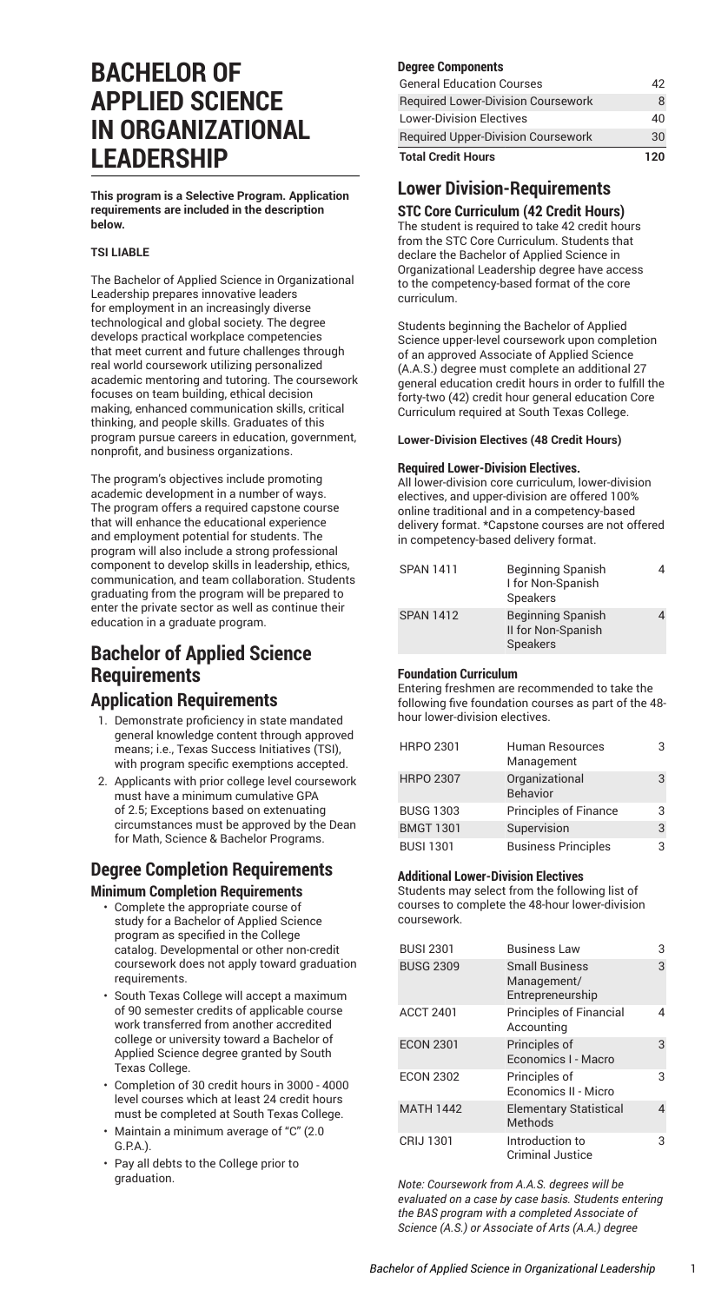# **BACHELOR OF APPLIED SCIENCE IN ORGANIZATIONAL LEADERSHIP**

**This program is a Selective Program. Application requirements are included in the description below.**

#### **TSI LIABLE**

The Bachelor of Applied Science in Organizational Leadership prepares innovative leaders for employment in an increasingly diverse technological and global society. The degree develops practical workplace competencies that meet current and future challenges through real world coursework utilizing personalized academic mentoring and tutoring. The coursework focuses on team building, ethical decision making, enhanced communication skills, critical thinking, and people skills. Graduates of this program pursue careers in education, government, nonprofit, and business organizations.

The program's objectives include promoting academic development in a number of ways. The program offers a required capstone course that will enhance the educational experience and employment potential for students. The program will also include a strong professional component to develop skills in leadership, ethics, communication, and team collaboration. Students graduating from the program will be prepared to enter the private sector as well as continue their education in a graduate program.

# **Bachelor of Applied Science Requirements Application Requirements**

- 1. Demonstrate proficiency in state mandated general knowledge content through approved means; i.e., Texas Success Initiatives (TSI), with program specific exemptions accepted.
- 2. Applicants with prior college level coursework must have a minimum cumulative GPA of 2.5; Exceptions based on extenuating circumstances must be approved by the Dean for Math, Science & Bachelor Programs.

### **Degree Completion Requirements Minimum Completion Requirements**

- Complete the appropriate course of study for a Bachelor of Applied Science program as specified in the College catalog. Developmental or other non-credit coursework does not apply toward graduation requirements.
- South Texas College will accept a maximum of 90 semester credits of applicable course work transferred from another accredited college or university toward a Bachelor of Applied Science degree granted by South Texas College.
- Completion of 30 credit hours in 3000 4000 level courses which at least 24 credit hours must be completed at South Texas College.
- Maintain a minimum average of "C" (2.0 G.P.A.).
- Pay all debts to the College prior to graduation.

#### **Degree Components**

| 120 |
|-----|
| 30  |
| 40  |
|     |
|     |
|     |

# **Lower Division-Requirements**

**STC Core Curriculum (42 Credit Hours)** The student is required to take 42 credit hours from the STC Core [Curriculum.](http://catalog.southtexascollege.edu/curriculum/core-curriculum/) Students that declare the Bachelor of Applied Science in Organizational Leadership degree have access to the competency-based format of the core curriculum.

Students beginning the Bachelor of Applied Science upper-level coursework upon completion of an approved Associate of Applied Science (A.A.S.) degree must complete an additional 27 general education credit hours in order to fulfill the forty-two (42) credit hour general education Core Curriculum required at South Texas College.

### **Lower-Division Electives (48 Credit Hours)**

#### **Required Lower-Division Electives.**

All lower-division core curriculum, lower-division electives, and upper-division are offered 100% online traditional and in a competency-based delivery format. \*Capstone courses are not offered in competency-based delivery format.

| <b>SPAN 1411</b> | <b>Beginning Spanish</b><br>I for Non-Spanish<br>Speakers  |  |
|------------------|------------------------------------------------------------|--|
| <b>SPAN 1412</b> | <b>Beginning Spanish</b><br>II for Non-Spanish<br>Speakers |  |

### **Foundation Curriculum**

Entering freshmen are recommended to take the following five foundation courses as part of the 48 hour lower-division electives.

| <b>HRPO 2301</b> | Human Resources<br>Management | З |
|------------------|-------------------------------|---|
| <b>HRPO 2307</b> | Organizational<br>Behavior    | 3 |
| <b>BUSG 1303</b> | Principles of Finance         | З |
| <b>BMGT 1301</b> | Supervision                   | 3 |
| <b>BUSI 1301</b> | <b>Business Principles</b>    | З |

### **Additional Lower-Division Electives**

Students may select from the following list of courses to complete the 48-hour lower-division coursework.

| <b>BUSI 2301</b> | <b>Business Law</b>                                      | З |
|------------------|----------------------------------------------------------|---|
| <b>BUSG 2309</b> | <b>Small Business</b><br>Management/<br>Entrepreneurship | 3 |
| <b>ACCT 2401</b> | <b>Principles of Financial</b><br>Accounting             | 4 |
| <b>ECON 2301</b> | Principles of<br>Economics I - Macro                     | 3 |
| <b>ECON 2302</b> | Principles of<br>Economics II - Micro                    | 3 |
| <b>MATH 1442</b> | <b>Elementary Statistical</b><br>Methods                 | 4 |
| CRIJ 1301        | Introduction to<br><b>Criminal Justice</b>               | З |

*Note: Coursework from A.A.S. degrees will be evaluated on a case by case basis. Students entering the BAS program with a completed Associate of Science (A.S.) or Associate of Arts (A.A.) degree*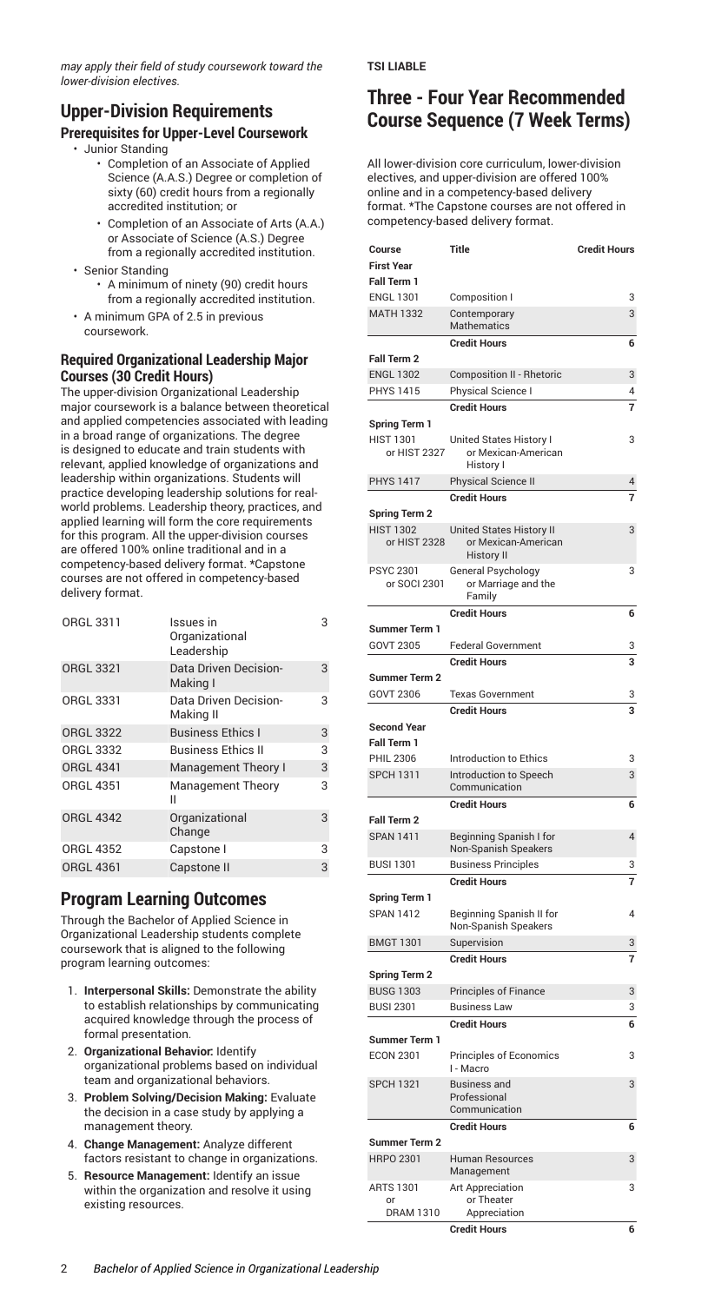*may apply their field of study coursework toward the lower-division electives.*

## **Upper-Division Requirements**

### **Prerequisites for Upper-Level Coursework**

- Junior Standing
	- Completion of an Associate of Applied Science (A.A.S.) Degree or completion of sixty (60) credit hours from a regionally accredited institution; or
	- Completion of an Associate of Arts (A.A.) or Associate of Science (A.S.) Degree from a regionally accredited institution.
- Senior Standing
	- A minimum of ninety (90) credit hours from a regionally accredited institution.
- A minimum GPA of 2.5 in previous coursework.

#### **Required Organizational Leadership Major Courses (30 Credit Hours)**

The upper-division Organizational Leadership major coursework is a balance between theoretical and applied competencies associated with leading in a broad range of organizations. The degree is designed to educate and train students with relevant, applied knowledge of organizations and leadership within organizations. Students will practice developing leadership solutions for realworld problems. Leadership theory, practices, and applied learning will form the core requirements for this program. All the upper-division courses are offered 100% online traditional and in a competency-based delivery format. \*Capstone courses are not offered in competency-based delivery format.

| ORGL 3311        | Issues in<br>Organizational<br>Leadership | 3 |
|------------------|-------------------------------------------|---|
| <b>ORGL 3321</b> | Data Driven Decision-<br>Making I         | 3 |
| <b>ORGL 3331</b> | Data Driven Decision-<br>Making II        | 3 |
| <b>ORGL 3322</b> | <b>Business Ethics I</b>                  | 3 |
| <b>ORGL 3332</b> | <b>Business Ethics II</b>                 | 3 |
| <b>ORGL 4341</b> | Management Theory I                       | 3 |
| <b>ORGL 4351</b> | <b>Management Theory</b><br>н             | 3 |
| <b>ORGL 4342</b> | Organizational<br>Change                  | 3 |
| <b>ORGL 4352</b> | Capstone I                                | 3 |
| <b>ORGL 4361</b> | Capstone II                               | 3 |

### **Program Learning Outcomes**

Through the Bachelor of Applied Science in Organizational Leadership students complete coursework that is aligned to the following program learning outcomes:

- 1. **Interpersonal Skills:** Demonstrate the ability to establish relationships by communicating acquired knowledge through the process of formal presentation.
- 2. **Organizational Behavior:** Identify organizational problems based on individual team and organizational behaviors.
- 3. **Problem Solving/Decision Making:** Evaluate the decision in a case study by applying a management theory.
- 4. **Change Management:** Analyze different factors resistant to change in organizations.
- 5. **Resource Management:** Identify an issue within the organization and resolve it using existing resources.

#### **TSI LIABLE**

# **Three - Four Year Recommended Course Sequence (7 Week Terms)**

All lower-division core curriculum, lower-division electives, and upper-division are offered 100% online and in a competency-based delivery format. \*The Capstone courses are not offered in competency-based delivery format.

| Course                                   | Title                                           | <b>Credit Hours</b> |
|------------------------------------------|-------------------------------------------------|---------------------|
| <b>First Year</b>                        |                                                 |                     |
| Fall Term 1                              |                                                 |                     |
| <b>ENGL 1301</b>                         | Composition I                                   | 3                   |
| <b>MATH 1332</b>                         | Contemporary<br><b>Mathematics</b>              | 3                   |
|                                          | <b>Credit Hours</b>                             | 6                   |
| <b>Fall Term 2</b>                       |                                                 |                     |
| <b>ENGL 1302</b>                         | <b>Composition II - Rhetoric</b>                | 3                   |
| PHYS 1415                                | Physical Science I                              | 4                   |
|                                          | <b>Credit Hours</b>                             | 7                   |
| <b>Spring Term 1</b>                     |                                                 |                     |
| <b>HIST 1301</b>                         | United States History I                         | 3                   |
| or HIST 2327                             | or Mexican-American                             |                     |
|                                          | History I                                       |                     |
| <b>PHYS 1417</b>                         | Physical Science II                             | 4                   |
|                                          | <b>Credit Hours</b>                             | 7                   |
| Spring Term 2                            |                                                 |                     |
| <b>HIST 1302</b><br>or HIST 2328         | United States History II<br>or Mexican-American | 3                   |
|                                          | <b>History II</b>                               |                     |
| <b>PSYC 2301</b>                         | General Psychology                              | 3                   |
| or SOCI 2301                             | or Marriage and the                             |                     |
|                                          | Family                                          |                     |
|                                          | <b>Credit Hours</b>                             | 6                   |
| <b>Summer Term 1</b><br><b>GOVT 2305</b> | <b>Federal Government</b>                       |                     |
|                                          | <b>Credit Hours</b>                             | 3<br>3              |
| <b>Summer Term 2</b>                     |                                                 |                     |
| <b>GOVT 2306</b>                         | <b>Texas Government</b>                         | 3                   |
|                                          | <b>Credit Hours</b>                             | 3                   |
| <b>Second Year</b>                       |                                                 |                     |
| <b>Fall Term 1</b>                       |                                                 |                     |
| <b>PHIL 2306</b>                         | Introduction to Ethics                          | 3                   |
| <b>SPCH 1311</b>                         | Introduction to Speech                          | 3                   |
|                                          | Communication                                   |                     |
|                                          | <b>Credit Hours</b>                             | 6                   |
| <b>Fall Term 2</b>                       |                                                 |                     |
| <b>SPAN 1411</b>                         | Beginning Spanish I for                         | 4                   |
|                                          | Non-Spanish Speakers                            |                     |
| <b>BUSI 1301</b>                         | <b>Business Principles</b>                      | 3<br>7              |
| <b>Spring Term 1</b>                     | <b>Credit Hours</b>                             |                     |
| <b>SPAN 1412</b>                         | Beginning Spanish II for                        | 4                   |
|                                          | Non-Spanish Speakers                            |                     |
| <b>BMGT 1301</b>                         | Supervision                                     | 3                   |
|                                          | <b>Credit Hours</b>                             | 7                   |
| <b>Spring Term 2</b>                     |                                                 |                     |
| <b>BUSG 1303</b>                         | <b>Principles of Finance</b>                    | 3                   |
| <b>BUSI 2301</b>                         | Business Law                                    | 3                   |
|                                          | <b>Credit Hours</b>                             | 6                   |
| <b>Summer Term 1</b>                     |                                                 |                     |
| <b>ECON 2301</b>                         | Principles of Economics                         | 3                   |
| <b>SPCH 1321</b>                         | I - Macro<br><b>Business and</b>                | 3                   |
|                                          | Professional                                    |                     |
|                                          | Communication                                   |                     |
|                                          | <b>Credit Hours</b>                             | 6                   |
| <b>Summer Term 2</b>                     |                                                 |                     |
| <b>HRPO 2301</b>                         | <b>Human Resources</b>                          | 3                   |
|                                          | Management                                      |                     |
| ARTS 1301<br>or                          | <b>Art Appreciation</b><br>or Theater           | 3                   |
| DRAM 1310                                | Appreciation                                    |                     |
|                                          | <b>Credit Hours</b>                             | 6                   |